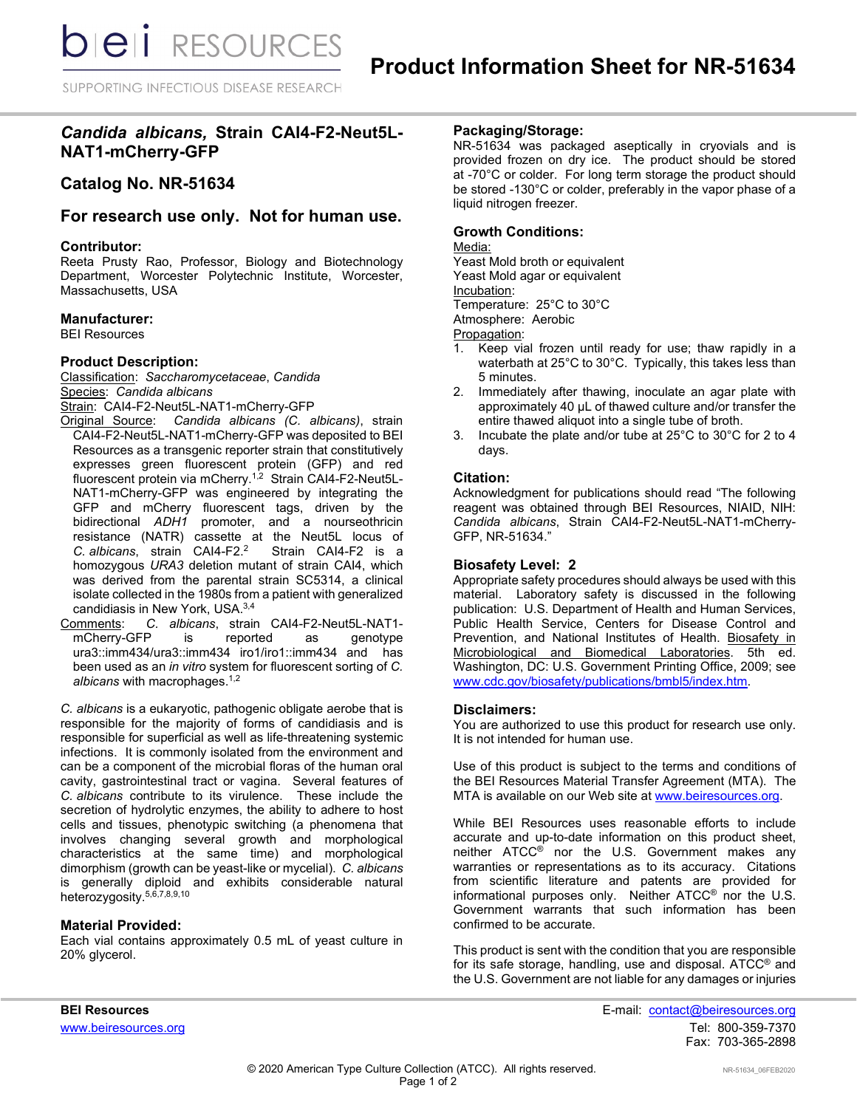SUPPORTING INFECTIOUS DISEASE RESEARCH

## *Candida albicans,* **Strain CAI4-F2-Neut5L-NAT1-mCherry-GFP**

# **Catalog No. NR-51634**

### **For research use only. Not for human use.**

### **Contributor:**

Reeta Prusty Rao, Professor, Biology and Biotechnology Department, Worcester Polytechnic Institute, Worcester, Massachusetts, USA

### **Manufacturer:**

BEI Resources

### **Product Description:**

Classification: *Saccharomycetaceae*, *Candida* Species: *Candida albicans* Strain: CAI4-F2-Neut5L-NAT1-mCherry-GFP

- Original Source: *Candida albicans (C. albicans)*, strain CAI4-F2-Neut5L-NAT1-mCherry-GFP was deposited to BEI Resources as a transgenic reporter strain that constitutively expresses green fluorescent protein (GFP) and red fluorescent protein via mCherry. 1,2 Strain CAI4-F2-Neut5L-NAT1-mCherry-GFP was engineered by integrating the GFP and mCherry fluorescent tags, driven by the bidirectional *ADH1* promoter, and a nourseothricin resistance (NATR) cassette at the Neut5L locus of *C. albicans*, strain CAI4-F2. Strain CAI4-F2 is a homozygous *URA3* deletion mutant of strain CAI4, which was derived from the parental strain SC5314, a clinical isolate collected in the 1980s from a patient with generalized candidiasis in New York, USA.3,4
- Comments: *C. albicans*, strain CAI4-F2-Neut5L-NAT1 mCherry-GFP is reported as ura3::imm434/ura3::imm434 iro1/iro1::imm434 and has been used as an *in vitro* system for fluorescent sorting of *C. albicans* with macrophages.1,2

*C. albicans* is a eukaryotic, pathogenic obligate aerobe that is responsible for the majority of forms of candidiasis and is responsible for superficial as well as life-threatening systemic infections. It is commonly isolated from the environment and can be a component of the microbial floras of the human oral cavity, gastrointestinal tract or vagina. Several features of *C. albicans* contribute to its virulence. These include the secretion of hydrolytic enzymes, the ability to adhere to host cells and tissues, phenotypic switching (a phenomena that involves changing several growth and morphological characteristics at the same time) and morphological dimorphism (growth can be yeast-like or mycelial). *C. albicans* is generally diploid and exhibits considerable natural heterozygosity. 5,6,7,8,9,10

#### **Material Provided:**

Each vial contains approximately 0.5 mL of yeast culture in 20% glycerol.

### **Packaging/Storage:**

NR-51634 was packaged aseptically in cryovials and is provided frozen on dry ice. The product should be stored at -70°C or colder. For long term storage the product should be stored -130°C or colder, preferably in the vapor phase of a liquid nitrogen freezer.

### **Growth Conditions:**

## Media:

Yeast Mold broth or equivalent Yeast Mold agar or equivalent Incubation: Temperature: 25°C to 30°C

Atmosphere: Aerobic

- Propagation:<br>1. Keep via Keep vial frozen until ready for use; thaw rapidly in a waterbath at 25°C to 30°C. Typically, this takes less than 5 minutes.
- 2. Immediately after thawing, inoculate an agar plate with approximately 40 µL of thawed culture and/or transfer the entire thawed aliquot into a single tube of broth.
- 3. Incubate the plate and/or tube at 25°C to 30°C for 2 to 4 days.

### **Citation:**

Acknowledgment for publications should read "The following reagent was obtained through BEI Resources, NIAID, NIH: *Candida albicans*, Strain CAI4-F2-Neut5L-NAT1-mCherry-GFP, NR-51634."

### **Biosafety Level: 2**

Appropriate safety procedures should always be used with this material. Laboratory safety is discussed in the following publication: U.S. Department of Health and Human Services, Public Health Service, Centers for Disease Control and Prevention, and National Institutes of Health. Biosafety in Microbiological and Biomedical Laboratories. 5th ed. Washington, DC: U.S. Government Printing Office, 2009; see [www.cdc.gov/biosafety/publications/bmbl5/index.htm.](http://www.cdc.gov/biosafety/publications/bmbl5/index.htm)

#### **Disclaimers:**

You are authorized to use this product for research use only. It is not intended for human use.

Use of this product is subject to the terms and conditions of the BEI Resources Material Transfer Agreement (MTA). The MTA is available on our Web site at [www.beiresources.org.](http://www.beiresources.org/)

While BEI Resources uses reasonable efforts to include accurate and up-to-date information on this product sheet, neither ATCC® nor the U.S. Government makes any warranties or representations as to its accuracy. Citations from scientific literature and patents are provided for informational purposes only. Neither ATCC® nor the U.S. Government warrants that such information has been confirmed to be accurate.

This product is sent with the condition that you are responsible for its safe storage, handling, use and disposal. ATCC® and the U.S. Government are not liable for any damages or injuries

**BEI Resources** E-mail: contact@beiresources.org www.beiresources.orgTel: 800-359-7370 Fax: 703-365-2898